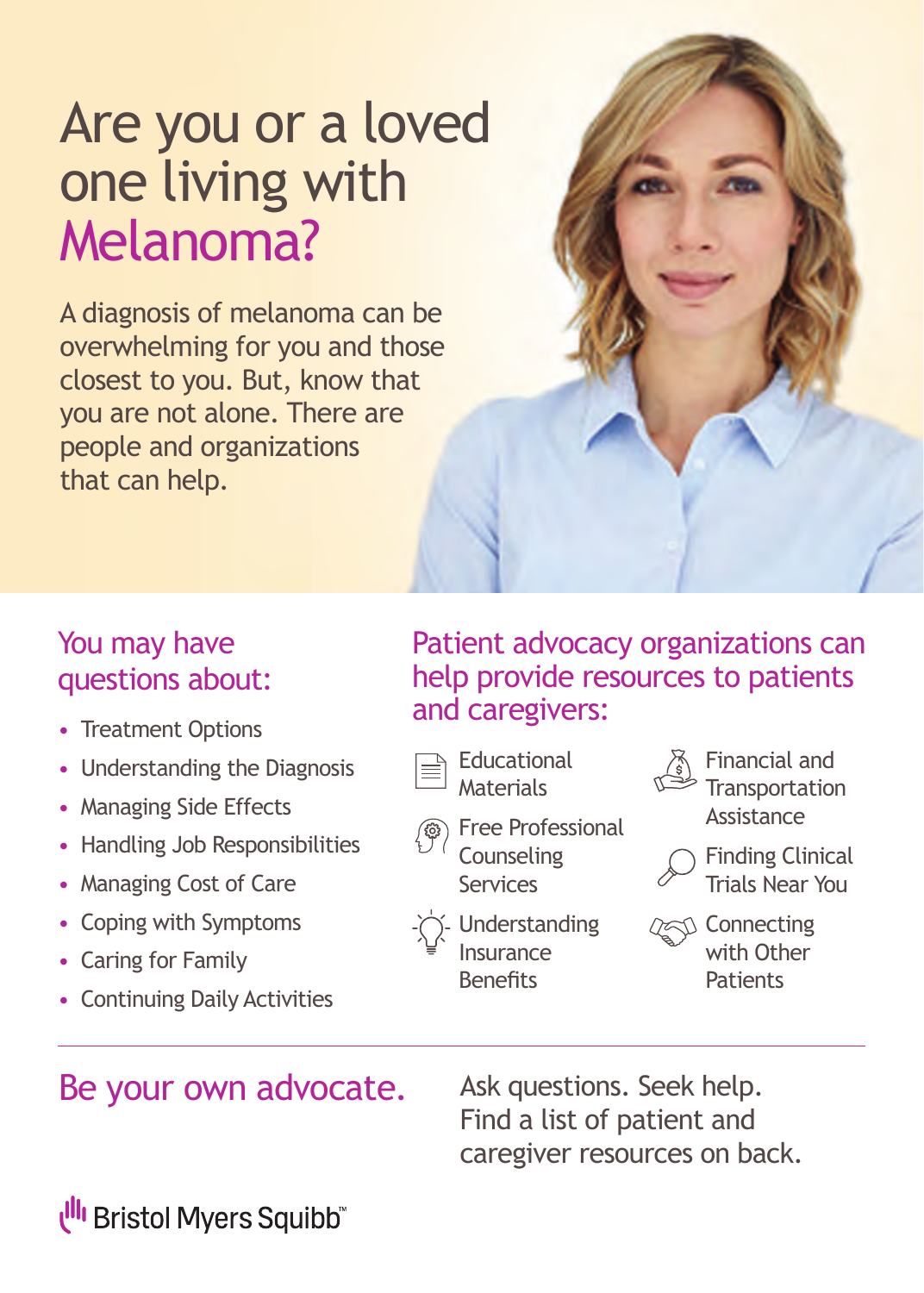# **Are you or a loved**  Are you or a loved<br>**Are living with** one living with Melanoma?

A diagnosis of melanoma can be overwhelming for you and those closest to you. But, know that you are not alone. There are people and organizations that can help.



- Treatment Options
- Understanding the Diagnosis
- Managing Side Effects
- Handling Job Responsibilities
- Managing Cost of Care
- Coping with Symptoms
- Caring for Family
- Continuing Daily Activities

### Patient advocacy organizations can help provide resources to patients and caregivers:







- Financial and **Transportation** Assistance
- Finding Clinical Trials Near You
- Understanding Insurance **Benefits**
- **Connecting** with Other **Patients**

### Be your own advocate. Ask questions. Seek help.

Find a list of patient and caregiver resources on back.

## "Ill Bristol Myers Squibb